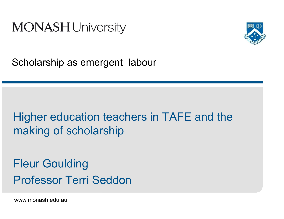



Scholarship as emergent labour

# Higher education teachers in TAFE and the making of scholarship

Fleur GouldingProfessor Terri Seddon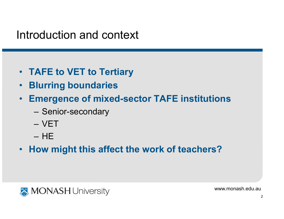#### Introduction and context

- TAFE to VET to Tertiary
- •Blurring boundaries
- • Emergence of mixed-sector TAFE institutions
	- –– Senior-secondary
	- –VET
	- –HE
- How might this affect the work of teachers?

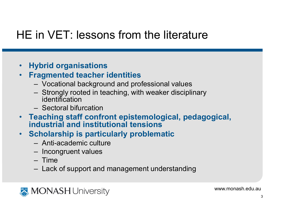## HE in VET: lessons from the literature

- Hybrid organisations
- Fragmented teacher identities
	- $-$  Vocational background and pr Vocational background and professional values
	- Strongly rooted in teaching, with weaker disciplinary<br>identification identification
	- Sectoral bit **- Sectoral bifurcation**
- Teaching staff confront epistemological, pedagogical, industrial and institutional tensions
- **Scholarship is particularly problematic**  $\bullet$ 
	- Anti-academic culture
	- Incongruent values
	- Time<br>Josk
	- Lack of support and management understanding

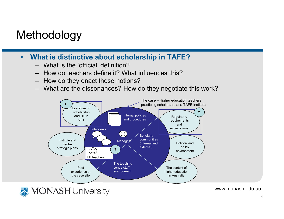# Methodology

- • What is distinctive about scholarship in TAFE?
	- What is the 'official' definition?
	- How do teachers define it? What influences this?
	- How do they enact these notions?
	- What are the dissonances? How do they negotiate this work?

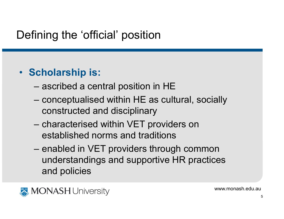# Defining the 'official' position

#### • Scholarship is:

- –ascribed a central position in HE
- – conceptualised within HE as cultural, socially constructed and disciplinary
- –characterised within VET providers on established norms and traditions
- – enabled in VET providers through common understandings and supportive HR practices and policies

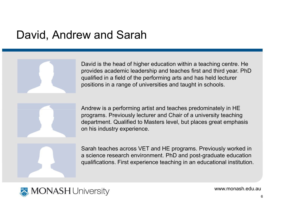#### David, Andrew and Sarah

David is the head of higher education within a teaching centre. He provides academic leadership and teaches first and third year. PhD qualified in a field of the performing arts and has held lecturer positions in a range of universities and taught in schools.



Andrew is a performing artist and teaches predominately in HE programs. Previously lecturer and Chair of a university teaching department. Qualified to Masters level, but places great emphasis on his industry experience.

Sarah teaches across VET and HE programs. Previously worked in a science research environment. PhD and post-graduate education qualifications. First experience teaching in an educational institution.

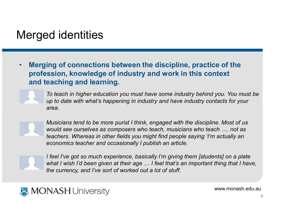#### Merged identities

• Merging of connections between the discipline, practice of the profession, knowledge of industry and work in this context and teaching and learning.



To teach in higher education you must have some industry behind you. You must be up to date with what's happening in industry and have industry contacts for your area.



Musicians tend to be more purist I think, engaged with the discipline. Most of us would see ourselves as composers who teach, musicians who teach …. not as teachers. Whereas in other fields you might find people saying 'I'm actually an economics teacher and occasionally I publish an article.



I feel I've got so much experience, basically I'm giving them [students] on a plate what I wish I'd been given at their age ... I feel that's an important thing that I have, the currency, and I've sort of worked out a lot of stuff.

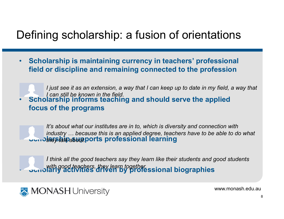### Defining scholarship: a fusion of orientations

• Scholarship is maintaining currency in teachers' professional field or discipline and remaining connected to the profession

• Scholarship informs teaching and should serve the applied focus of the programsI just see it as an extension, a way that I can keep up to date in my field, a way that I can still be known in the field.

Schoolarship asupports professional learning It's about what our institutes are in to, which is diversity and connection with industry … because this is an applied degree, teachers have to be able to do what

Sunolarly activities driven by professional biographies I think all the good teachers say they learn like their students and good students



•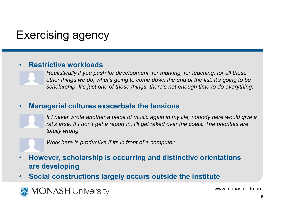# Exercising agency

#### •Restrictive workloads

 Realistically if you push for development, for marking, for teaching, for all those other things we do, what's going to come down the end of the list, it's going to be scholarship. It's just one of those things, there's not enough time to do everything.

#### •Managerial cultures exacerbate the tensions

If I never wrote another a piece of music again in my life, nobody here would give a rat's arse. If I don't get a report in, I'll get raked over the coals. The priorities are totally wrong.

Work here is productive if its in front of a computer.

- • However, scholarship is occurring and distinctive orientations are developing
- Social constructions largely occurs outside the institute•

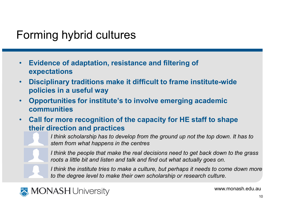### Forming hybrid cultures

- $\bullet$  Evidence of adaptation, resistance and filtering of expectations
- • Disciplinary traditions make it difficult to frame institute-wide policies in a useful way
- Opportunities for institute's to involve emerging academic •communities
- • Call for more recognition of the capacity for HE staff to shape their direction and practices

 I think scholarship has to develop from the ground up not the top down. It has to stem from what happens in the centres

I think the people that make the real decisions need to get back down to the grass roots a little bit and listen and talk and find out what actually goes on.

I think the institute tries to make a culture, but perhaps it needs to come down more to the degree level to make their own scholarship or research culture.

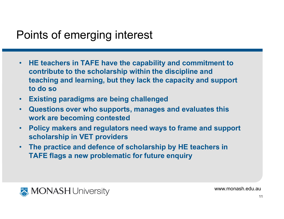## Points of emerging interest

- • HE teachers in TAFE have the capability and commitment to contribute to the scholarship within the discipline and teaching and learning, but they lack the capacity and support to do so
- Existing paradigms are being challenged
- Questions over who supports, manages and evaluates this •work are becoming contested
- Policy makers and regulators need ways to frame and support •scholarship in VET providers
- • The practice and defence of scholarship by HE teachers in TAFE flags a new problematic for future enquiry